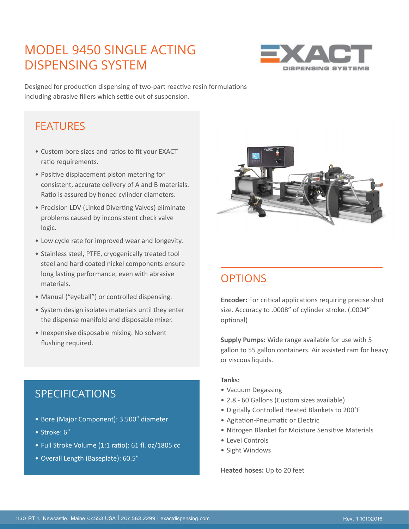## MODEL 9450 SINGLE ACTING DISPENSING SYSTEM



Designed for production dispensing of two-part reactive resin formulations including abrasive fillers which settle out of suspension.

### **FFATURES**

- Custom bore sizes and ratios to fit your EXACT ratio requirements.
- Positive displacement piston metering for consistent, accurate delivery of A and B materials. Ratio is assured by honed cylinder diameters.
- Precision LDV (Linked Diverting Valves) eliminate problems caused by inconsistent check valve logic.
- Low cycle rate for improved wear and longevity.
- Stainless steel, PTFE, cryogenically treated tool steel and hard coated nickel components ensure long lasting performance, even with abrasive materials.
- Manual ("eyeball") or controlled dispensing.
- System design isolates materials until they enter the dispense manifold and disposable mixer.
- Inexpensive disposable mixing. No solvent flushing required.



## **OPTIONS**

**Encoder:** For critical applications requiring precise shot size. Accuracy to .0008" of cylinder stroke. (.0004" optional)

**Supply Pumps:** Wide range available for use with 5 gallon to 55 gallon containers. Air assisted ram for heavy or viscous liquids.

#### **Tanks:**

- Vacuum Degassing
- 2.8 60 Gallons (Custom sizes available)
- Digitally Controlled Heated Blankets to 200°F
- Agitation-Pneumatic or Electric
- Nitrogen Blanket for Moisture Sensitive Materials
- Level Controls
- Sight Windows

**Heated hoses:** Up to 20 feet

### SPECIFICATIONS

- Bore (Major Component): 3.500" diameter
- Stroke: 6"
- Full Stroke Volume (1:1 ratio): 61 fl. oz/1805 cc
- Overall Length (Baseplate): 60.5"